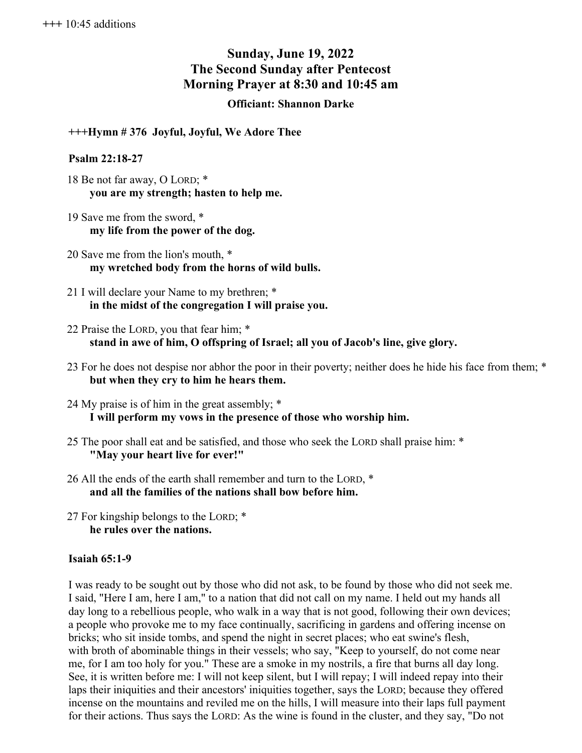# **Sunday, June 19, 2022 The Second Sunday after Pentecost Morning Prayer at 8:30 and 10:45 am**

## **Officiant: Shannon Darke**

**+++Hymn # 376 Joyful, Joyful, We Adore Thee**

#### **Psalm 22:18-27**

- 18 Be not far away, O LORD; \* **you are my strength; hasten to help me.**
- 19 Save me from the sword, \* **my life from the power of the dog.**
- 20 Save me from the lion's mouth, \* **my wretched body from the horns of wild bulls.**
- 21 I will declare your Name to my brethren; \* **in the midst of the congregation I will praise you.**
- 22 Praise the LORD, you that fear him; \* **stand in awe of him, O offspring of Israel; all you of Jacob's line, give glory.**
- 23 For he does not despise nor abhor the poor in their poverty; neither does he hide his face from them; \* **but when they cry to him he hears them.**
- 24 My praise is of him in the great assembly; \* **I will perform my vows in the presence of those who worship him.**
- 25 The poor shall eat and be satisfied, and those who seek the LORD shall praise him: \* **"May your heart live for ever!"**
- 26 All the ends of the earth shall remember and turn to the LORD, \* **and all the families of the nations shall bow before him.**
- 27 For kingship belongs to the LORD; \* **he rules over the nations.**

## **Isaiah 65:1-9**

I was ready to be sought out by those who did not ask, to be found by those who did not seek me. I said, "Here I am, here I am," to a nation that did not call on my name. I held out my hands all day long to a rebellious people, who walk in a way that is not good, following their own devices; a people who provoke me to my face continually, sacrificing in gardens and offering incense on bricks; who sit inside tombs, and spend the night in secret places; who eat swine's flesh, with broth of abominable things in their vessels; who say, "Keep to yourself, do not come near me, for I am too holy for you." These are a smoke in my nostrils, a fire that burns all day long. See, it is written before me: I will not keep silent, but I will repay; I will indeed repay into their laps their iniquities and their ancestors' iniquities together, says the LORD; because they offered incense on the mountains and reviled me on the hills, I will measure into their laps full payment for their actions. Thus says the LORD: As the wine is found in the cluster, and they say, "Do not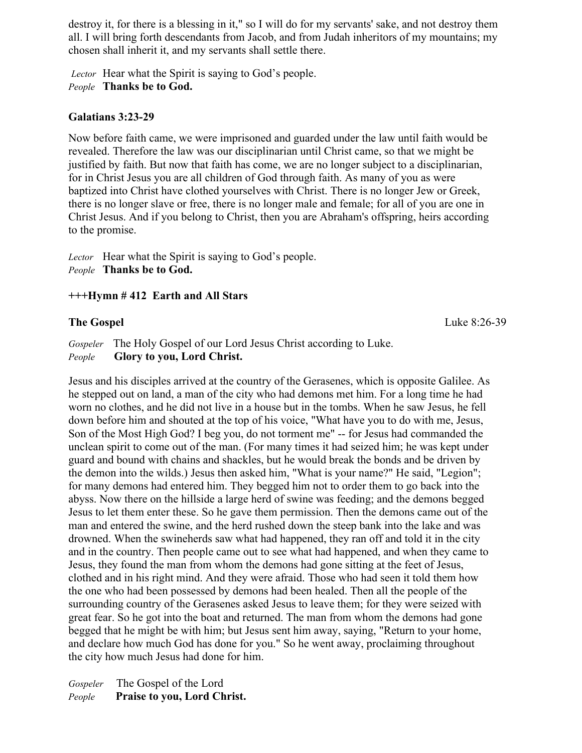destroy it, for there is a blessing in it," so I will do for my servants' sake, and not destroy them all. I will bring forth descendants from Jacob, and from Judah inheritors of my mountains; my chosen shall inherit it, and my servants shall settle there.

*Lector* Hear what the Spirit is saying to God's people. *People* **Thanks be to God.**

## **Galatians 3:23-29**

Now before faith came, we were imprisoned and guarded under the law until faith would be revealed. Therefore the law was our disciplinarian until Christ came, so that we might be justified by faith. But now that faith has come, we are no longer subject to a disciplinarian, for in Christ Jesus you are all children of God through faith. As many of you as were baptized into Christ have clothed yourselves with Christ. There is no longer Jew or Greek, there is no longer slave or free, there is no longer male and female; for all of you are one in Christ Jesus. And if you belong to Christ, then you are Abraham's offspring, heirs according to the promise.

*Lector* Hear what the Spirit is saying to God's people. *People* **Thanks be to God.**

## **+++Hymn # 412 Earth and All Stars**

## **The Gospel** Luke 8:26-39

*Gospeler* The Holy Gospel of our Lord Jesus Christ according to Luke. *People* **Glory to you, Lord Christ.**

Jesus and his disciples arrived at the country of the Gerasenes, which is opposite Galilee. As he stepped out on land, a man of the city who had demons met him. For a long time he had worn no clothes, and he did not live in a house but in the tombs. When he saw Jesus, he fell down before him and shouted at the top of his voice, "What have you to do with me, Jesus, Son of the Most High God? I beg you, do not torment me" -- for Jesus had commanded the unclean spirit to come out of the man. (For many times it had seized him; he was kept under guard and bound with chains and shackles, but he would break the bonds and be driven by the demon into the wilds.) Jesus then asked him, "What is your name?" He said, "Legion"; for many demons had entered him. They begged him not to order them to go back into the abyss. Now there on the hillside a large herd of swine was feeding; and the demons begged Jesus to let them enter these. So he gave them permission. Then the demons came out of the man and entered the swine, and the herd rushed down the steep bank into the lake and was drowned. When the swineherds saw what had happened, they ran off and told it in the city and in the country. Then people came out to see what had happened, and when they came to Jesus, they found the man from whom the demons had gone sitting at the feet of Jesus, clothed and in his right mind. And they were afraid. Those who had seen it told them how the one who had been possessed by demons had been healed. Then all the people of the surrounding country of the Gerasenes asked Jesus to leave them; for they were seized with great fear. So he got into the boat and returned. The man from whom the demons had gone begged that he might be with him; but Jesus sent him away, saying, "Return to your home, and declare how much God has done for you." So he went away, proclaiming throughout the city how much Jesus had done for him.

*Gospeler* The Gospel of the Lord *People* **Praise to you, Lord Christ.**